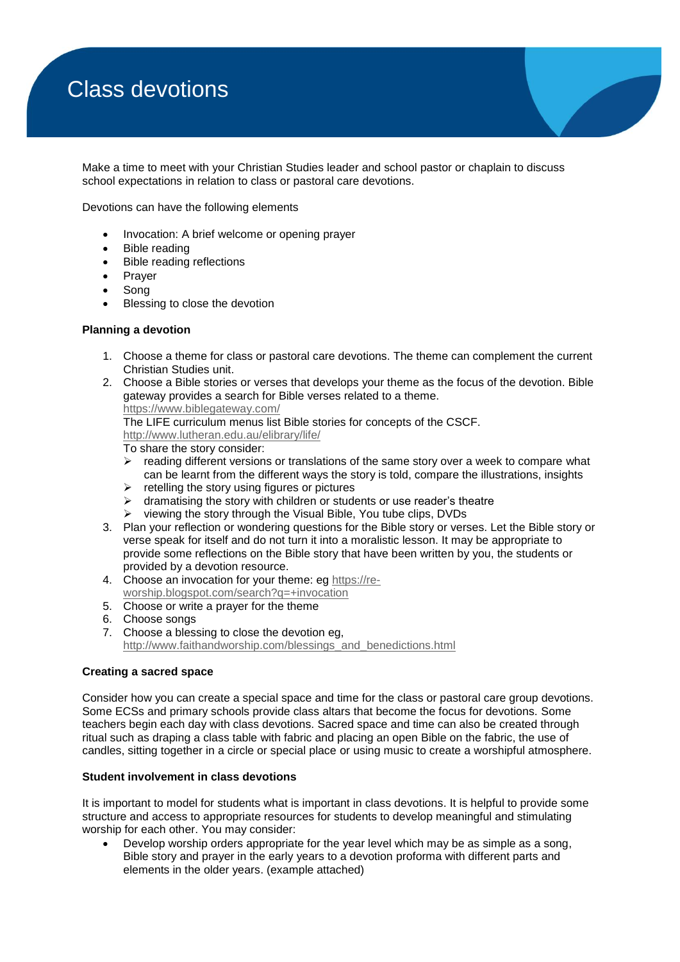# Class devotions

Make a time to meet with your Christian Studies leader and school pastor or chaplain to discuss school expectations in relation to class or pastoral care devotions.

Devotions can have the following elements

- Invocation: A brief welcome or opening prayer
- Bible reading
- Bible reading reflections
- Prayer
- Song
- Blessing to close the devotion

#### **Planning a devotion**

- 1. Choose a theme for class or pastoral care devotions. The theme can complement the current Christian Studies unit.
- 2. Choose a Bible stories or verses that develops your theme as the focus of the devotion. Bible gateway provides a search for Bible verses related to a theme. <https://www.biblegateway.com/>

The LIFE curriculum menus list Bible stories for concepts of the CSCF.

<http://www.lutheran.edu.au/elibrary/life/>

To share the story consider:

- $\triangleright$  reading different versions or translations of the same story over a week to compare what can be learnt from the different ways the story is told, compare the illustrations, insights
- retelling the story using figures or pictures
- $\triangleright$  dramatising the story with children or students or use reader's theatre
- $\triangleright$  viewing the story through the Visual Bible, You tube clips, DVDs
- 3. Plan your reflection or wondering questions for the Bible story or verses. Let the Bible story or verse speak for itself and do not turn it into a moralistic lesson. It may be appropriate to provide some reflections on the Bible story that have been written by you, the students or provided by a devotion resource.
- 4. Choose an invocation for your theme: eg [https://re](https://re-worship.blogspot.com/search?q=+invocation)[worship.blogspot.com/search?q=+invocation](https://re-worship.blogspot.com/search?q=+invocation)
- 5. Choose or write a prayer for the theme
- 6. Choose songs
- 7. Choose a blessing to close the devotion eg, [http://www.faithandworship.com/blessings\\_and\\_benedictions.html](http://www.faithandworship.com/blessings_and_benedictions.html)

## **Creating a sacred space**

Consider how you can create a special space and time for the class or pastoral care group devotions. Some ECSs and primary schools provide class altars that become the focus for devotions. Some teachers begin each day with class devotions. Sacred space and time can also be created through ritual such as draping a class table with fabric and placing an open Bible on the fabric, the use of candles, sitting together in a circle or special place or using music to create a worshipful atmosphere.

## **Student involvement in class devotions**

It is important to model for students what is important in class devotions. It is helpful to provide some structure and access to appropriate resources for students to develop meaningful and stimulating worship for each other. You may consider:

 Develop worship orders appropriate for the year level which may be as simple as a song, Bible story and prayer in the early years to a devotion proforma with different parts and elements in the older years. (example attached)